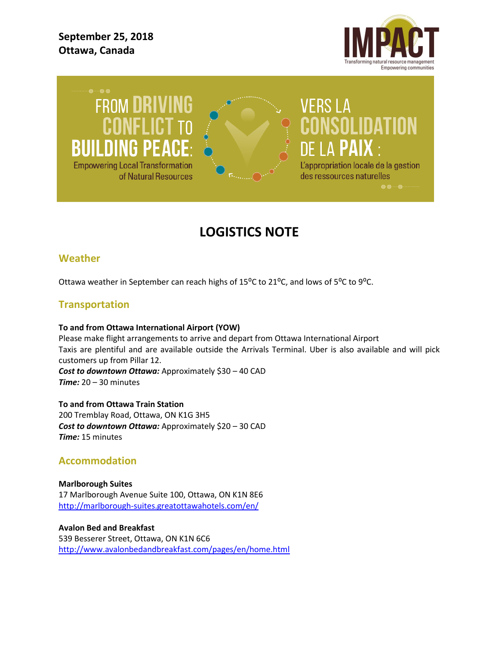**September 25, 2018 Ottawa, Canada**



**FROM DRIVING BUILDING PEAC Empowering Local Transformation** of Natural Resources



# VERS LA **NSOLIDATION** DE LA PAIX : L'appropriation locale de la gestion

des ressources naturelles

**LOGISTICS NOTE**

## **Weather**

Ottawa weather in September can reach highs of 15 $^{\circ}$ C to 21 $^{\circ}$ C, and lows of 5 $^{\circ}$ C to 9 $^{\circ}$ C.

## **Transportation**

#### **To and from Ottawa International Airport (YOW)**

Please make flight arrangements to arrive and depart from Ottawa International Airport Taxis are plentiful and are available outside the Arrivals Terminal. Uber is also available and will pick customers up from Pillar 12. *Cost to downtown Ottawa:* Approximately \$30 – 40 CAD *Time:* 20 – 30 minutes

**To and from Ottawa Train Station** 200 Tremblay Road, Ottawa, ON K1G 3H5 *Cost to downtown Ottawa:* Approximately \$20 – 30 CAD *Time:* 15 minutes

## **Accommodation**

**Marlborough Suites** 17 Marlborough Avenue Suite 100, Ottawa, ON K1N 8E6 <http://marlborough-suites.greatottawahotels.com/en/>

#### **Avalon Bed and Breakfast**

539 Besserer Street, Ottawa, ON K1N 6C6 <http://www.avalonbedandbreakfast.com/pages/en/home.html>